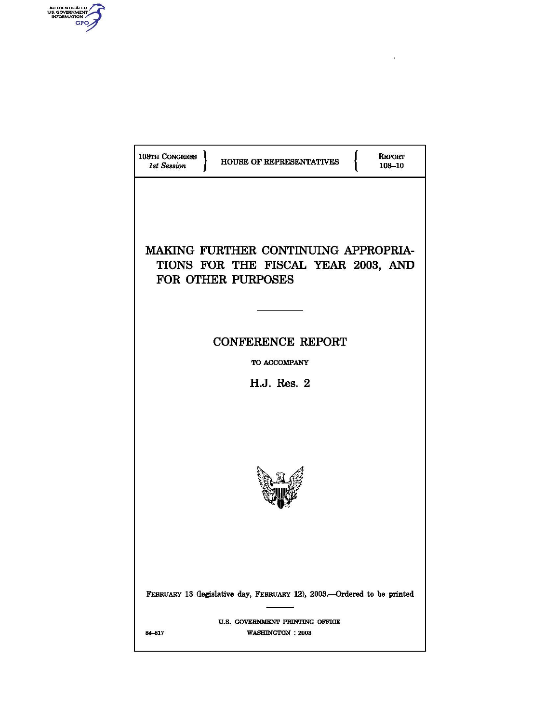

| 108TH CONGRESS<br><b>REPORT</b><br>HOUSE OF REPRESENTATIVES<br><b>1st Session</b><br>108-10              |  |  |
|----------------------------------------------------------------------------------------------------------|--|--|
| MAKING FURTHER CONTINUING APPROPRIA-<br>TIONS FOR THE FISCAL YEAR 2003, AND<br><b>FOR OTHER PURPOSES</b> |  |  |
| <b>CONFERENCE REPORT</b>                                                                                 |  |  |
| TO ACCOMPANY                                                                                             |  |  |
| H.J. Res. 2                                                                                              |  |  |
|                                                                                                          |  |  |
| FEBRUARY 13 (legislative day, FEBRUARY 12), 2003.-Ordered to be printed                                  |  |  |
| U.S. GOVERNMENT PRINTING OFFICE<br>84-817<br><b>WASHINGTON : 2003</b>                                    |  |  |
|                                                                                                          |  |  |

 $\hat{\mathcal{A}}$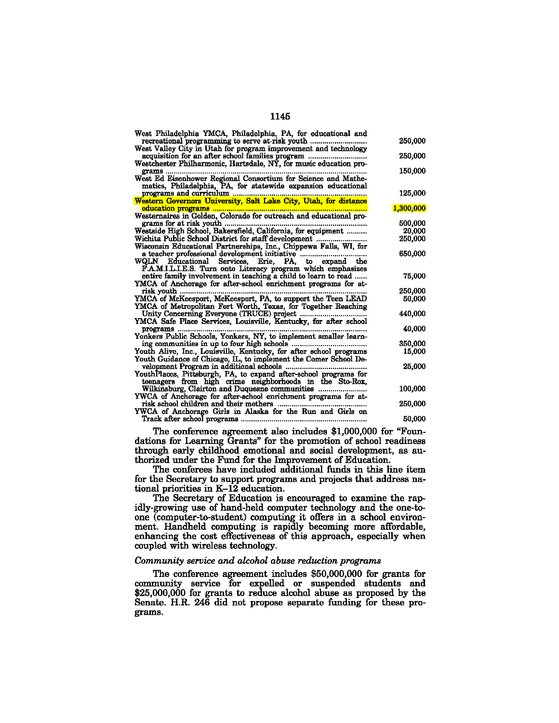| West Philadelphia YMCA, Philadelphia, PA, for educational and<br>recreational programming to serve at-risk youth<br>West Valley City in Utah for program improvement and technology | 250,000   |
|-------------------------------------------------------------------------------------------------------------------------------------------------------------------------------------|-----------|
| acquisition for an after school families program<br>Westchester Philharmonic, Hartsdale, NY, for music education pro-                                                               | 250,000   |
| grams<br>West Ed Eisenhower Regional Consortium for Science and Mathe-<br>matics, Philadelphia, PA, for statewide expansion educational                                             | 150,000   |
|                                                                                                                                                                                     | 125,000   |
|                                                                                                                                                                                     | 1,300,000 |
| grams for at risk youth                                                                                                                                                             | 500,000   |
| Westside High School, Bakersfield, California, for equipment                                                                                                                        | 20,000    |
|                                                                                                                                                                                     | 250.000   |
| Wichita Public School District for staff development<br>Wisconsin Educational Partnerships, Inc., Chippewa Falls, WI, for                                                           |           |
| a teacher professional development initiative<br>WQLN Educational Services, Erie, PA, to expand the<br>F.A.M.I.L.I.E.S. Turn onto Literacy program which emphasizes                 | 650,000   |
| entire family involvement in teaching a child to learn to read<br>YMCA of Anchorage for after-school enrichment programs for at-                                                    | 75,000    |
| risk youth                                                                                                                                                                          | 250,000   |
| YMCA of McKeesport, McKeesport, PA, to support the Teen LEAD                                                                                                                        | 50,000    |
| YMCA of Metropolitan Fort Worth, Texas, for Together Reaching                                                                                                                       |           |
| Unity Concerning Everyone (TRUCE) project<br>YMCA Safe Place Services, Louisville, Kentucky, for after school                                                                       | 440,000   |
| programs                                                                                                                                                                            | 40,000    |
| Yonkers Public Schools, Yonkers, NY, to implement smaller learn-                                                                                                                    |           |
|                                                                                                                                                                                     | 350,000   |
| Youth Alive, Inc., Louisville, Kentucky, for after school programs<br>Youth Guidance of Chicago, IL, to implement the Comer School De-                                              | 15,000    |
| YouthPlaces, Pittsburgh, PA, to expand after-school programs for<br>teenagers from high crime neighborhoods in the Sto-Rox,                                                         | 25,000    |
| Wilkinsburg, Clairton and Duquesne communities<br>YWCA of Anchorage for after-school enrichment programs for at-                                                                    | 100,000   |
| risk school children and their mothers                                                                                                                                              | 250,000   |
| YWCA of Anchorage Girls in Alaska for the Run and Girls on                                                                                                                          | 50,000    |

The conference agreement also includes \$1,000,000 for "Foundations for Learning Grants" for the promotion of school readiness through early childhood emotional and social development, as authorized under the Fund for the Improvement of Education.

The conferees have included additional funds in this line item for the Secretary to support programs and projects that address national priorities in K-12 education.

The Secretary of Education is encouraged to examine the rapidly-growing use of hand-held computer technology and the one-toone (computer-to-student) computing it offers in a school environment. Handheld computing is rapidly becoming more affordable, enhancing the cost effectiveness of this approach, especially when coupled with wireless technology.

## *Community seroice and alcohol abuse reduction programs*

The conference agreement includes \$50,000,000 for grants for community service for expelled or suspended students and \$25,000,000 for grants to reduce alcohol abuse as proposed by the Senate. H.R. 246 did not propose separate funding for these programs.